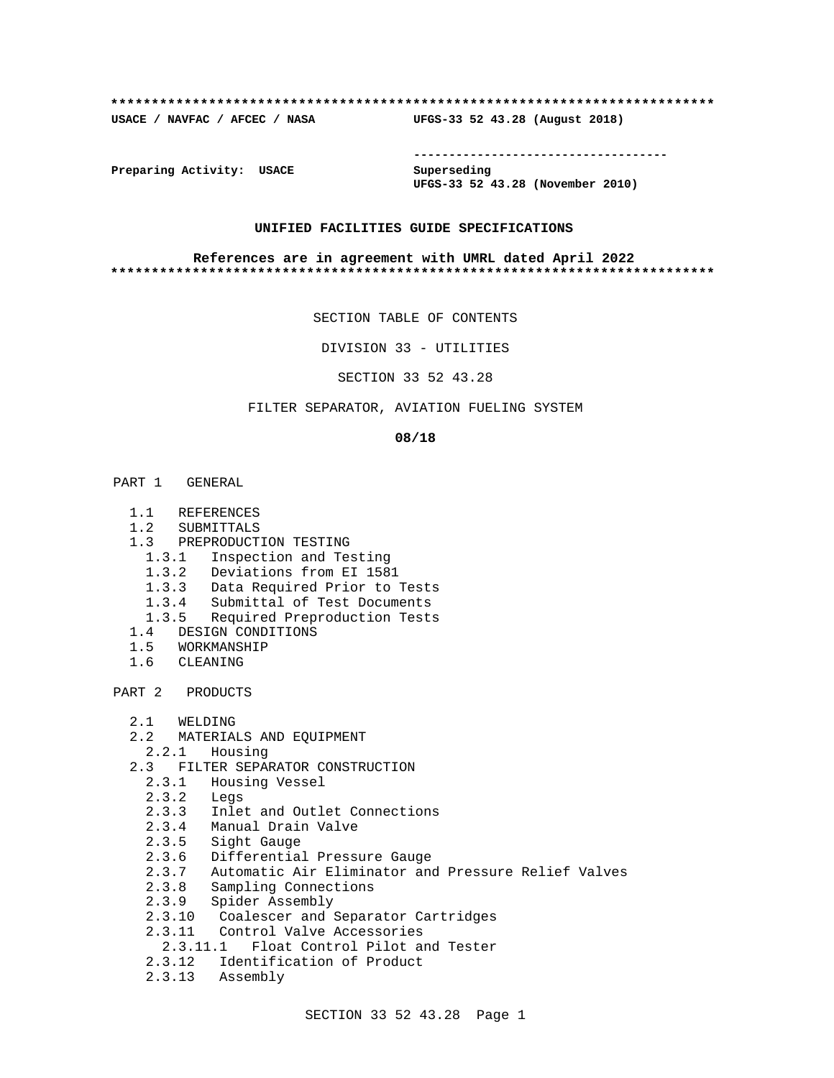#### **\*\*\*\*\*\*\*\*\*\*\*\*\*\*\*\*\*\*\*\*\*\*\*\*\*\*\*\*\*\*\*\*\*\*\*\*\*\*\*\*\*\*\*\*\*\*\*\*\*\*\*\*\*\*\*\*\*\*\*\*\*\*\*\*\*\*\*\*\*\*\*\*\*\***

**USACE / NAVFAC / AFCEC / NASA UFGS-33 52 43.28 (August 2018)**

**------------------------------------**

**Preparing Activity: USACE Superseding**

**UFGS-33 52 43.28 (November 2010)**

### **UNIFIED FACILITIES GUIDE SPECIFICATIONS**

#### **References are in agreement with UMRL dated April 2022 \*\*\*\*\*\*\*\*\*\*\*\*\*\*\*\*\*\*\*\*\*\*\*\*\*\*\*\*\*\*\*\*\*\*\*\*\*\*\*\*\*\*\*\*\*\*\*\*\*\*\*\*\*\*\*\*\*\*\*\*\*\*\*\*\*\*\*\*\*\*\*\*\*\***

SECTION TABLE OF CONTENTS

DIVISION 33 - UTILITIES

SECTION 33 52 43.28

# FILTER SEPARATOR, AVIATION FUELING SYSTEM

#### **08/18**

- PART 1 GENERAL
	- 1.1 REFERENCES
	- 1.2 SUBMITTALS
	- 1.3 PREPRODUCTION TESTING
	- 1.3.1 Inspection and Testing
	- 1.3.2 Deviations from EI 1581
	- 1.3.3 Data Required Prior to Tests
	- 1.3.4 Submittal of Test Documents
	- 1.3.5 Required Preproduction Tests
	- 1.4 DESIGN CONDITIONS
	- 1.5 WORKMANSHIP
	- 1.6 CLEANING

PART 2 PRODUCTS

- 2.1 WELDING
- 2.2 MATERIALS AND EQUIPMENT
	- 2.2.1 Housing
- 2.3 FILTER SEPARATOR CONSTRUCTION
	- 2.3.1 Housing Vessel
	- 2.3.2 Legs
- 2.3.3 Inlet and Outlet Connections
- 2.3.4 Manual Drain Valve
	- 2.3.5 Sight Gauge
	- 2.3.6 Differential Pressure Gauge
	- 2.3.7 Automatic Air Eliminator and Pressure Relief Valves
	- 2.3.8 Sampling Connections
	- 2.3.9 Spider Assembly
	- 2.3.10 Coalescer and Separator Cartridges
	- 2.3.11 Control Valve Accessories
	- 2.3.11.1 Float Control Pilot and Tester
	- 2.3.12 Identification of Product
	- 2.3.13 Assembly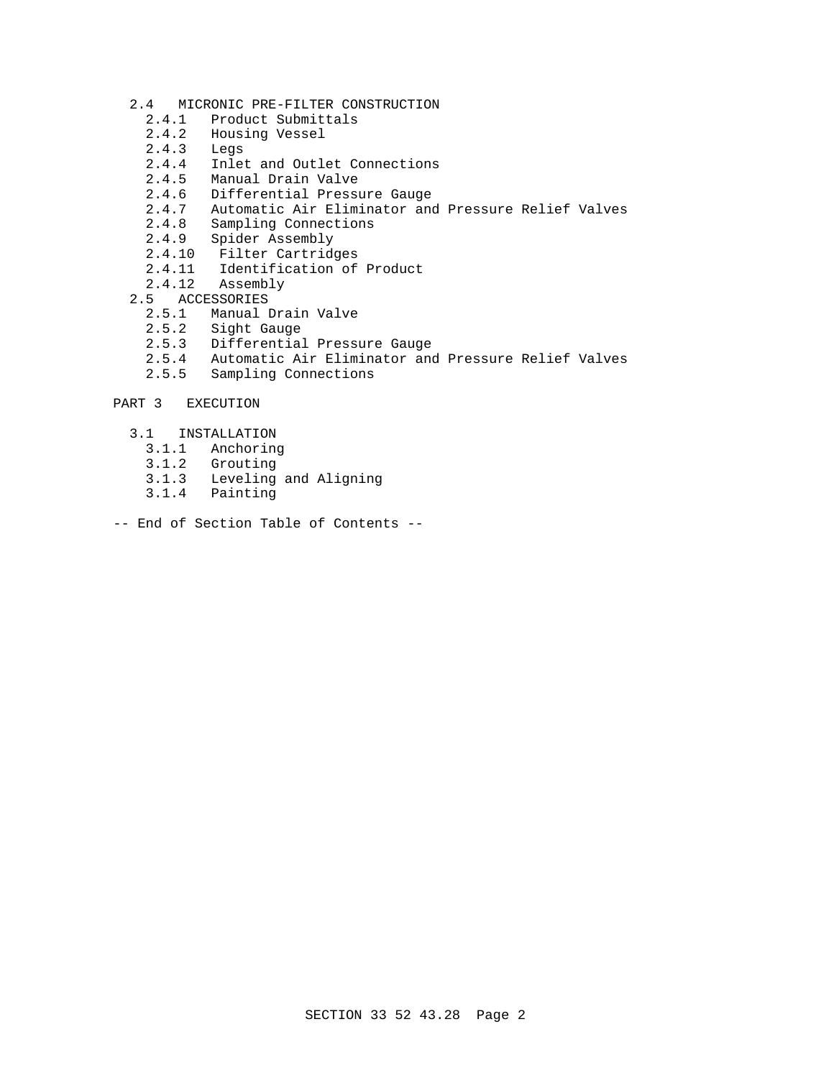- 2.4 MICRONIC PRE-FILTER CONSTRUCTION<br>2.4.1 Product Submittals
	- Product Submittals
	- 2.4.2 Housing Vessel<br>2.4.3 Legs
	- 2.4.3 Legs<br>2.4.4 Inlet
	- 2.4.4 Inlet and Outlet Connections<br>2.4.5 Manual Drain Valve
	- Manual Drain Valve
	- 2.4.6 Differential Pressure Gauge<br>2.4.7 Automatic Air Eliminator and
	- Automatic Air Eliminator and Pressure Relief Valves
	- 2.4.8 Sampling Connections
	- 2.4.9 Spider Assembly
	- 2.4.10 Filter Cartridges
	- 2.4.11 Identification of Product
	- 2.4.12 Assembly
- 2.5 ACCESSORIES<br>2.5.1 Manual
	- 2.5.1 Manual Drain Valve<br>2.5.2 Sight Gauge
	- Sight Gauge
	- 2.5.3 Differential Pressure Gauge
	- 2.5.4 Automatic Air Eliminator and Pressure Relief Valves
	- 2.5.5 Sampling Connections
- PART 3 EXECUTION
	- 3.1 INSTALLATION
		- 3.1.1 Anchoring
		- 3.1.2 Grouting
		- Leveling and Aligning
		- 3.1.4 Painting
- -- End of Section Table of Contents --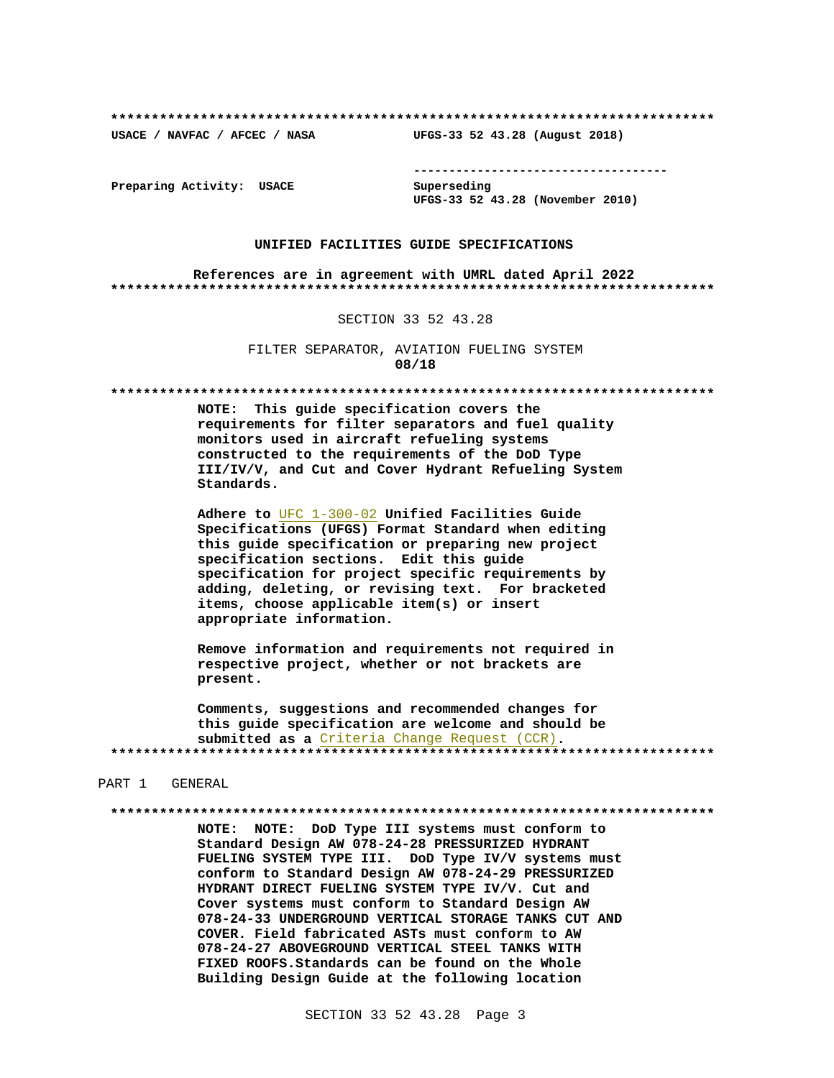USACE / NAVFAC / AFCEC / NASA

--------------------------------------

Preparing Activity: USACE

Superseding UFGS-33 52 43.28 (November 2010)

UFGS-33 52 43.28 (August 2018)

#### UNIFIED FACILITIES GUIDE SPECIFICATIONS

References are in agreement with UMRL dated April 2022 

#### SECTION 33 52 43.28

FILTER SEPARATOR, AVIATION FUELING SYSTEM 08/18

NOTE: This guide specification covers the requirements for filter separators and fuel quality monitors used in aircraft refueling systems constructed to the requirements of the DoD Type III/IV/V, and Cut and Cover Hydrant Refueling System Standards.

Adhere to UFC 1-300-02 Unified Facilities Guide Specifications (UFGS) Format Standard when editing this guide specification or preparing new project specification sections. Edit this guide specification for project specific requirements by adding, deleting, or revising text. For bracketed items, choose applicable item(s) or insert appropriate information.

Remove information and requirements not required in respective project, whether or not brackets are present.

Comments, suggestions and recommended changes for this guide specification are welcome and should be submitted as a Criteria Change Request (CCR). 

#### PART 1 GENERAL

NOTE: NOTE: DoD Type III systems must conform to Standard Design AW 078-24-28 PRESSURIZED HYDRANT FUELING SYSTEM TYPE III. DoD Type IV/V systems must conform to Standard Design AW 078-24-29 PRESSURIZED HYDRANT DIRECT FUELING SYSTEM TYPE IV/V. Cut and Cover systems must conform to Standard Design AW 078-24-33 UNDERGROUND VERTICAL STORAGE TANKS CUT AND COVER. Field fabricated ASTs must conform to AW 078-24-27 ABOVEGROUND VERTICAL STEEL TANKS WITH FIXED ROOFS. Standards can be found on the Whole Building Design Guide at the following location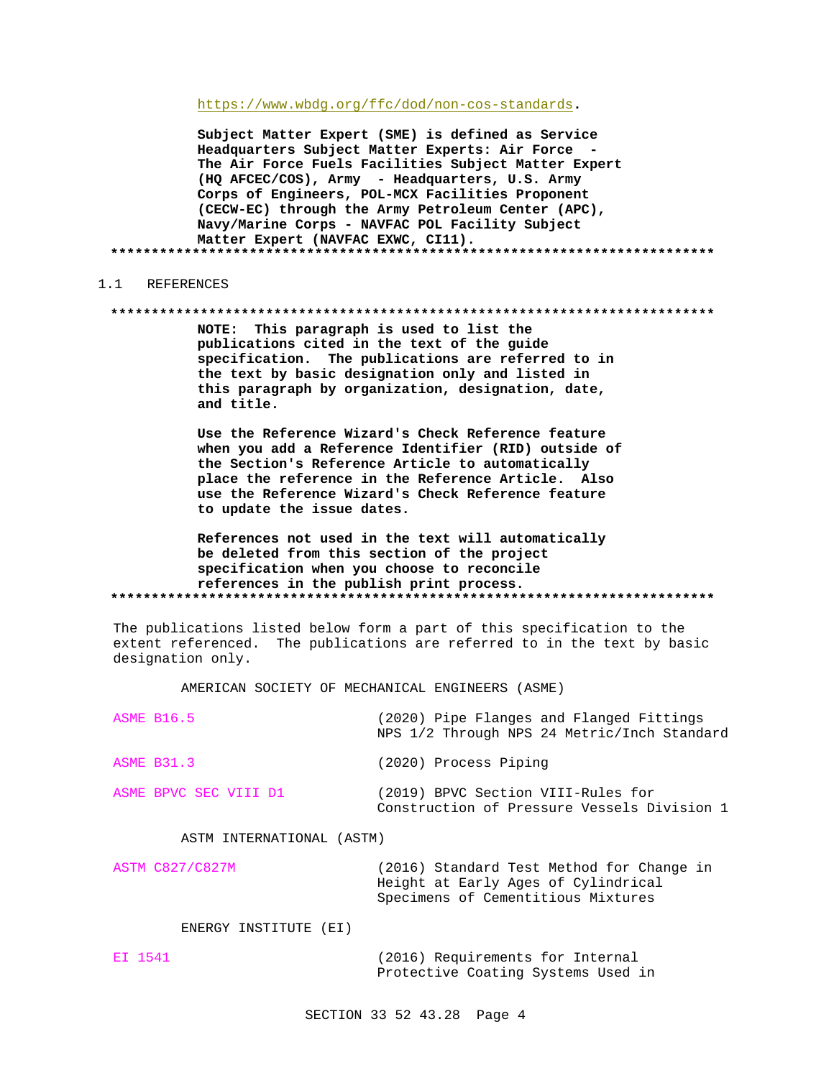https://www.wbdg.org/ffc/dod/non-cos-standards.

Subject Matter Expert (SME) is defined as Service Headquarters Subject Matter Experts: Air Force -The Air Force Fuels Facilities Subject Matter Expert (HQ AFCEC/COS), Army - Headquarters, U.S. Army Corps of Engineers, POL-MCX Facilities Proponent (CECW-EC) through the Army Petroleum Center (APC), Navy/Marine Corps - NAVFAC POL Facility Subject Matter Expert (NAVFAC EXWC, CI11). 

#### REFERENCES  $1 \quad 1$

#### 

NOTE: This paragraph is used to list the publications cited in the text of the guide specification. The publications are referred to in the text by basic designation only and listed in this paragraph by organization, designation, date, and title.

Use the Reference Wizard's Check Reference feature when you add a Reference Identifier (RID) outside of the Section's Reference Article to automatically place the reference in the Reference Article. Also use the Reference Wizard's Check Reference feature to update the issue dates.

References not used in the text will automatically be deleted from this section of the project specification when you choose to reconcile references in the publish print process. 

The publications listed below form a part of this specification to the extent referenced. The publications are referred to in the text by basic designation only.

AMERICAN SOCIETY OF MECHANICAL ENGINEERS (ASME)

| <b>ASME B16.5</b>         | (2020) Pipe Flanges and Flanged Fittings<br>NPS 1/2 Through NPS 24 Metric/Inch Standard |
|---------------------------|-----------------------------------------------------------------------------------------|
| <b>ASME B31.3</b>         | (2020) Process Piping                                                                   |
| ASME BPVC SEC VIII D1     | (2019) BPVC Section VIII-Rules for<br>Construction of Pressure Vessels Division 1       |
| ASTM INTERNATIONAL (ASTM) |                                                                                         |
| <b>ASTM C827/C827M</b>    | (2016) Standard Test Method for Change in<br>Height at Early Ages of Cylindrical        |

Specimens of Cementitious Mixtures

ENERGY INSTITUTE (EI)

EI 1541 (2016) Requirements for Internal Protective Coating Systems Used in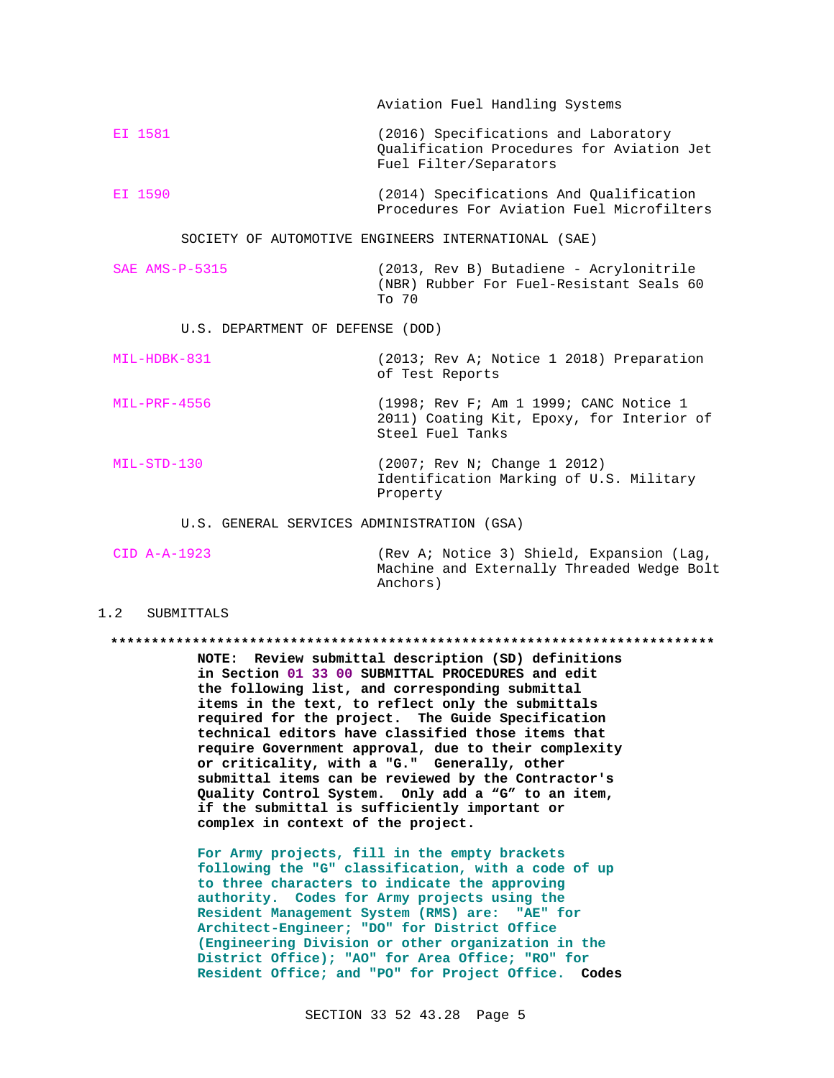EI 1581 (2016) Specifications and Laboratory Qualification Procedures for Aviation Jet Fuel Filter/Separators EI 1590 (2014) Specifications And Qualification

Aviation Fuel Handling Systems

Procedures For Aviation Fuel Microfilters

SOCIETY OF AUTOMOTIVE ENGINEERS INTERNATIONAL (SAE)

SAE AMS-P-5315 (2013, Rev B) Butadiene - Acrylonitrile (NBR) Rubber For Fuel-Resistant Seals 60 To 70

U.S. DEPARTMENT OF DEFENSE (DOD)

MIL-HDBK-831 (2013; Rev A; Notice 1 2018) Preparation of Test Reports

- MIL-PRF-4556 (1998; Rev F; Am 1 1999; CANC Notice 1 2011) Coating Kit, Epoxy, for Interior of Steel Fuel Tanks
- MIL-STD-130 (2007; Rev N; Change 1 2012) Identification Marking of U.S. Military Property

U.S. GENERAL SERVICES ADMINISTRATION (GSA)

CID A-A-1923 (Rev A; Notice 3) Shield, Expansion (Lag, Machine and Externally Threaded Wedge Bolt Anchors)

#### 1.2 SUBMITTALS

#### **\*\*\*\*\*\*\*\*\*\*\*\*\*\*\*\*\*\*\*\*\*\*\*\*\*\*\*\*\*\*\*\*\*\*\*\*\*\*\*\*\*\*\*\*\*\*\*\*\*\*\*\*\*\*\*\*\*\*\*\*\*\*\*\*\*\*\*\*\*\*\*\*\*\***

**NOTE: Review submittal description (SD) definitions in Section 01 33 00 SUBMITTAL PROCEDURES and edit the following list, and corresponding submittal items in the text, to reflect only the submittals required for the project. The Guide Specification technical editors have classified those items that require Government approval, due to their complexity or criticality, with a "G." Generally, other submittal items can be reviewed by the Contractor's Quality Control System. Only add a "G" to an item, if the submittal is sufficiently important or complex in context of the project.**

**For Army projects, fill in the empty brackets following the "G" classification, with a code of up to three characters to indicate the approving authority. Codes for Army projects using the Resident Management System (RMS) are: "AE" for Architect-Engineer; "DO" for District Office (Engineering Division or other organization in the District Office); "AO" for Area Office; "RO" for Resident Office; and "PO" for Project Office. Codes**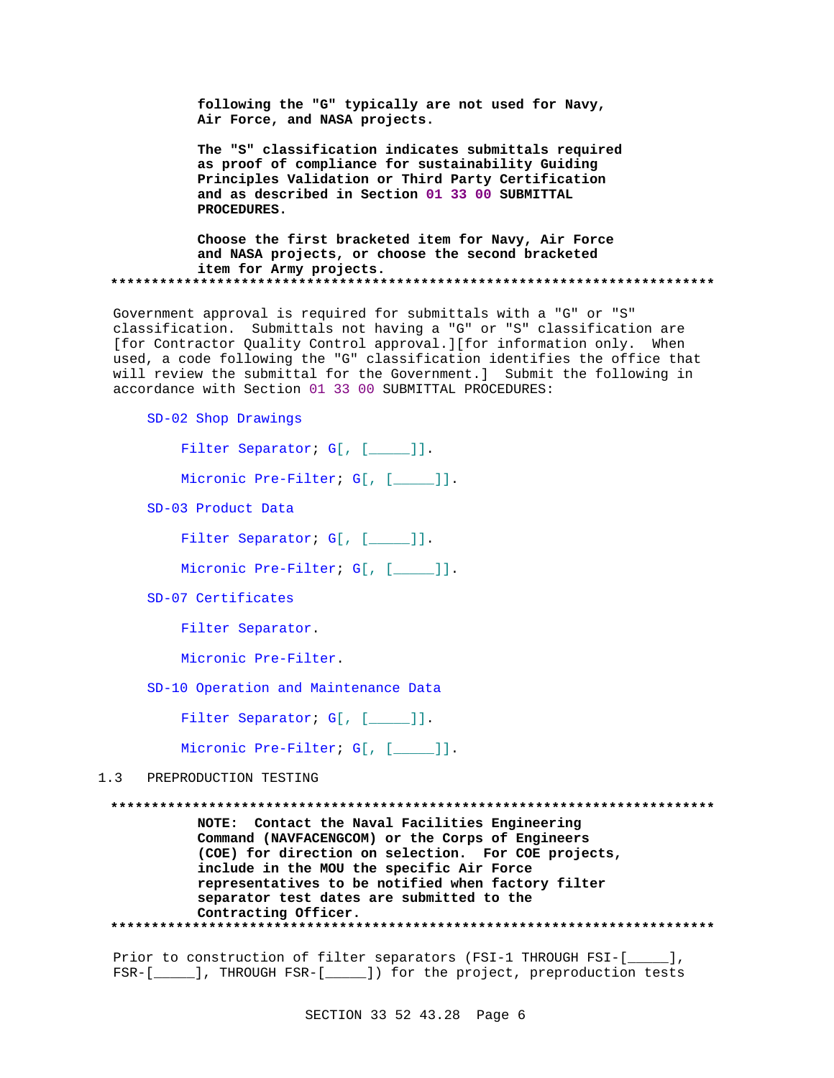following the "G" typically are not used for Navy, Air Force, and NASA projects.

The "S" classification indicates submittals required as proof of compliance for sustainability Guiding Principles Validation or Third Party Certification and as described in Section 01 33 00 SUBMITTAL PROCEDURES.

Choose the first bracketed item for Navy, Air Force and NASA projects, or choose the second bracketed item for Army projects. 

Government approval is required for submittals with a "G" or "S" classification. Submittals not having a "G" or "S" classification are [for Contractor Quality Control approval.][for information only. When used, a code following the "G" classification identifies the office that will review the submittal for the Government.] Submit the following in accordance with Section 01 33 00 SUBMITTAL PROCEDURES:

SD-02 Shop Drawings

Filter Separator; G[, [\_\_\_\_]].

Micronic Pre-Filter; G[, [\_\_\_\_]].

SD-03 Product Data

Filter Separator; G[, [\_\_\_\_]].

Micronic Pre-Filter; G[, [\_\_\_\_]].

SD-07 Certificates

Filter Separator.

Micronic Pre-Filter.

SD-10 Operation and Maintenance Data

Filter Separator; G[, [\_\_\_\_]].

Micronic Pre-Filter; G[, [\_\_\_\_]].

 $1<sup>3</sup>$ PREPRODUCTION TESTING

NOTE: Contact the Naval Facilities Engineering Command (NAVFACENGCOM) or the Corps of Engineers (COE) for direction on selection. For COE projects, include in the MOU the specific Air Force representatives to be notified when factory filter separator test dates are submitted to the Contracting Officer. 

Prior to construction of filter separators (FSI-1 THROUGH FSI-[\_\_\_\_], FSR-[\_\_\_\_\_], THROUGH FSR-[\_\_\_\_\_]) for the project, preproduction tests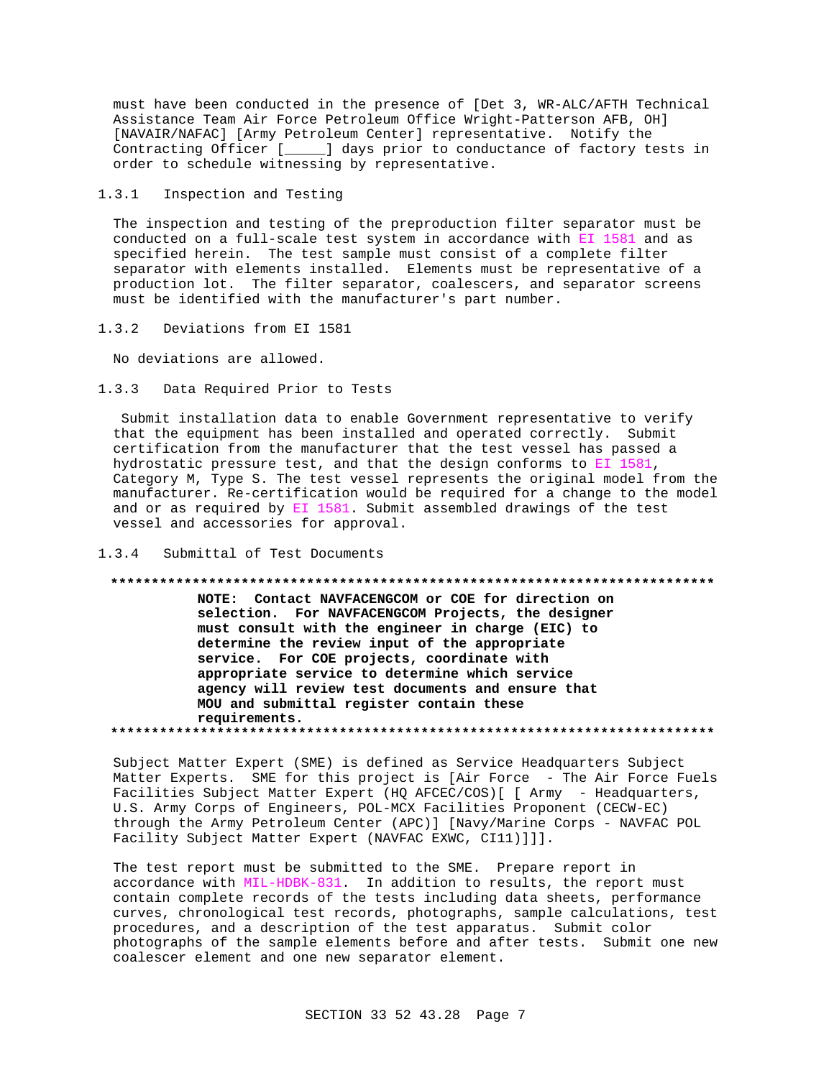must have been conducted in the presence of [Det 3, WR-ALC/AFTH Technical Assistance Team Air Force Petroleum Office Wright-Patterson AFB, OH] [NAVAIR/NAFAC] [Army Petroleum Center] representative. Notify the Contracting Officer [\_\_\_\_\_] days prior to conductance of factory tests in order to schedule witnessing by representative.

 $1.3.1$ Inspection and Testing

The inspection and testing of the preproduction filter separator must be conducted on a full-scale test system in accordance with EI 1581 and as specified herein. The test sample must consist of a complete filter separator with elements installed. Elements must be representative of a production lot. The filter separator, coalescers, and separator screens must be identified with the manufacturer's part number.

 $1.3.2$ Deviations from EI 1581

No deviations are allowed.

 $1.3.3$ Data Required Prior to Tests

Submit installation data to enable Government representative to verify that the equipment has been installed and operated correctly. Submit certification from the manufacturer that the test vessel has passed a hydrostatic pressure test, and that the design conforms to EI 1581, Category M, Type S. The test vessel represents the original model from the manufacturer. Re-certification would be required for a change to the model and or as required by EI 1581. Submit assembled drawings of the test vessel and accessories for approval.

#### $1.3.4$ Submittal of Test Documents

#### 

NOTE: Contact NAVFACENGCOM or COE for direction on selection. For NAVFACENGCOM Projects, the designer must consult with the engineer in charge (EIC) to determine the review input of the appropriate service. For COE projects, coordinate with appropriate service to determine which service agency will review test documents and ensure that MOU and submittal register contain these requirements. 

Subject Matter Expert (SME) is defined as Service Headquarters Subject Matter Experts. SME for this project is [Air Force - The Air Force Fuels Facilities Subject Matter Expert (HQ AFCEC/COS) [ [ Army - Headquarters, U.S. Army Corps of Engineers, POL-MCX Facilities Proponent (CECW-EC) through the Army Petroleum Center (APC)] [Navy/Marine Corps - NAVFAC POL Facility Subject Matter Expert (NAVFAC EXWC, CI11)]]].

The test report must be submitted to the SME. Prepare report in accordance with MIL-HDBK-831. In addition to results, the report must contain complete records of the tests including data sheets, performance curves, chronological test records, photographs, sample calculations, test procedures, and a description of the test apparatus. Submit color photographs of the sample elements before and after tests. Submit one new coalescer element and one new separator element.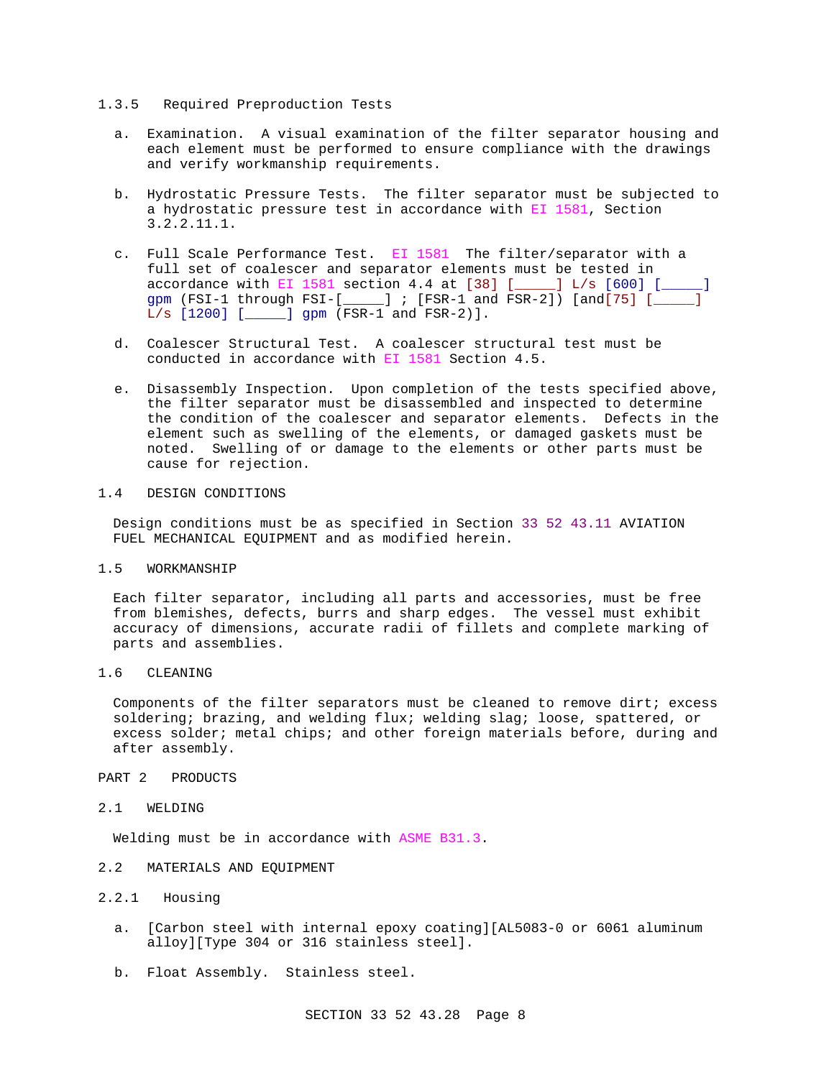### 1.3.5 Required Preproduction Tests

- a. Examination. A visual examination of the filter separator housing and each element must be performed to ensure compliance with the drawings and verify workmanship requirements.
- b. Hydrostatic Pressure Tests. The filter separator must be subjected to a hydrostatic pressure test in accordance with EI 1581, Section 3.2.2.11.1.
- c. Full Scale Performance Test. EI 1581 The filter/separator with a full set of coalescer and separator elements must be tested in accordance with EI 1581 section 4.4 at  $[38]$   $[$  \_\_\_\_] L/s  $[600]$   $[$  \_\_\_\_] gpm (FSI-1 through FSI-[\_\_\_\_] ; [FSR-1 and FSR-2]) [and[75] [\_\_\_ L/s [1200] [\_\_\_\_\_] gpm (FSR-1 and FSR-2)].
- d. Coalescer Structural Test. A coalescer structural test must be conducted in accordance with EI 1581 Section 4.5.
- e. Disassembly Inspection. Upon completion of the tests specified above, the filter separator must be disassembled and inspected to determine the condition of the coalescer and separator elements. Defects in the element such as swelling of the elements, or damaged gaskets must be noted. Swelling of or damage to the elements or other parts must be cause for rejection.

# 1.4 DESIGN CONDITIONS

Design conditions must be as specified in Section 33 52 43.11 AVIATION FUEL MECHANICAL EQUIPMENT and as modified herein.

#### 1.5 WORKMANSHIP

Each filter separator, including all parts and accessories, must be free from blemishes, defects, burrs and sharp edges. The vessel must exhibit accuracy of dimensions, accurate radii of fillets and complete marking of parts and assemblies.

# 1.6 CLEANING

Components of the filter separators must be cleaned to remove dirt; excess soldering; brazing, and welding flux; welding slag; loose, spattered, or excess solder; metal chips; and other foreign materials before, during and after assembly.

#### PART 2 PRODUCTS

### 2.1 WELDING

Welding must be in accordance with ASME B31.3.

#### 2.2 MATERIALS AND EQUIPMENT

# 2.2.1 Housing

- a. [Carbon steel with internal epoxy coating][AL5083-0 or 6061 aluminum alloy][Type 304 or 316 stainless steel].
- b. Float Assembly. Stainless steel.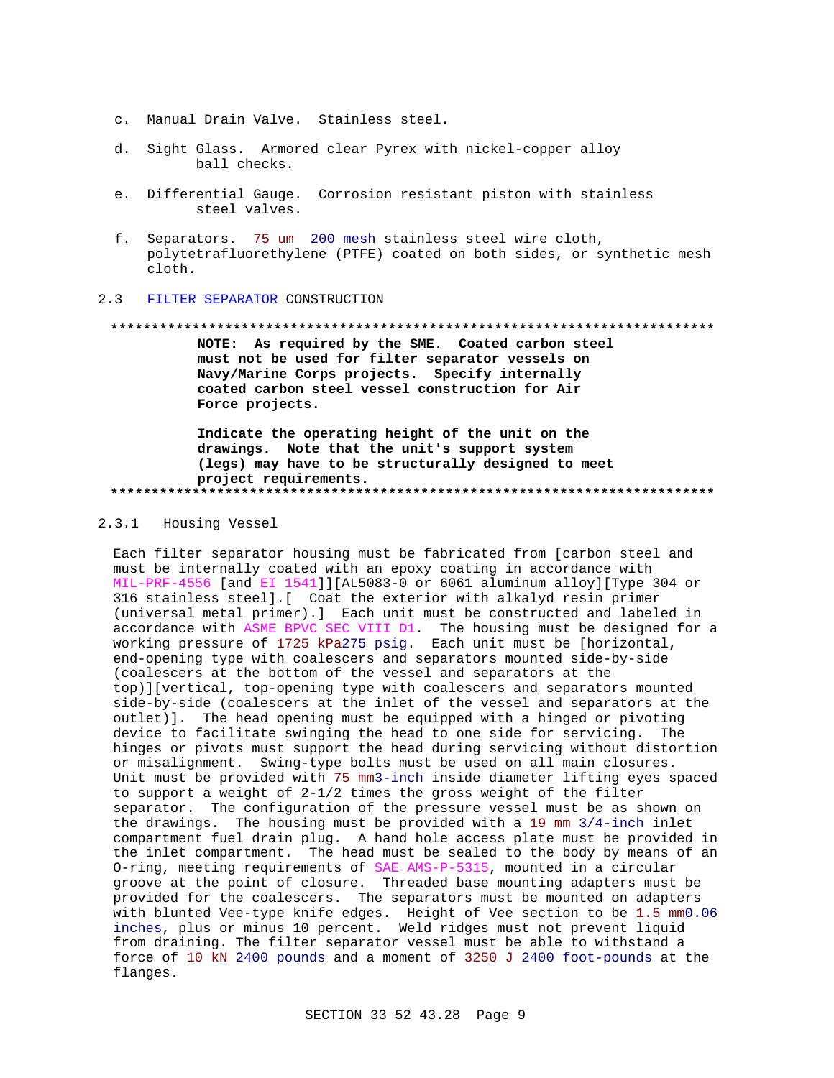- c. Manual Drain Valve. Stainless steel.
- d. Sight Glass. Armored clear Pyrex with nickel-copper alloy ball checks.
- e. Differential Gauge. Corrosion resistant piston with stainless steel valves.
- f. Separators. 75 um 200 mesh stainless steel wire cloth, polytetrafluorethylene (PTFE) coated on both sides, or synthetic mesh cloth.

#### $2.3$ FILTER SEPARATOR CONSTRUCTION

#### 

NOTE: As required by the SME. Coated carbon steel must not be used for filter separator vessels on Navy/Marine Corps projects. Specify internally coated carbon steel vessel construction for Air Force projects.

Indicate the operating height of the unit on the drawings. Note that the unit's support system (legs) may have to be structurally designed to meet project requirements. 

#### $2.3.1$ Housing Vessel

Each filter separator housing must be fabricated from [carbon steel and must be internally coated with an epoxy coating in accordance with MIL-PRF-4556 [and EI 1541]][AL5083-0 or 6061 aluminum alloy][Type 304 or 316 stainless steel]. [ Coat the exterior with alkalyd resin primer (universal metal primer).] Each unit must be constructed and labeled in accordance with ASME BPVC SEC VIII D1. The housing must be designed for a working pressure of 1725 kPa275 psig. Each unit must be [horizontal, end-opening type with coalescers and separators mounted side-by-side (coalescers at the bottom of the vessel and separators at the top)][vertical, top-opening type with coalescers and separators mounted side-by-side (coalescers at the inlet of the vessel and separators at the outlet)]. The head opening must be equipped with a hinged or pivoting device to facilitate swinging the head to one side for servicing. The hinges or pivots must support the head during servicing without distortion or misalignment. Swing-type bolts must be used on all main closures. Unit must be provided with 75 mm3-inch inside diameter lifting eyes spaced to support a weight of 2-1/2 times the gross weight of the filter separator. The configuration of the pressure vessel must be as shown on the drawings. The housing must be provided with a 19 mm  $3/4$ -inch inlet compartment fuel drain plug. A hand hole access plate must be provided in the inlet compartment. The head must be sealed to the body by means of an O-ring, meeting requirements of SAE AMS-P-5315, mounted in a circular groove at the point of closure. Threaded base mounting adapters must be provided for the coalescers. The separators must be mounted on adapters with blunted Vee-type knife edges. Height of Vee section to be 1.5 mm0.06 inches, plus or minus 10 percent. Weld ridges must not prevent liquid from draining. The filter separator vessel must be able to withstand a force of 10 kN 2400 pounds and a moment of 3250 J 2400 foot-pounds at the flanges.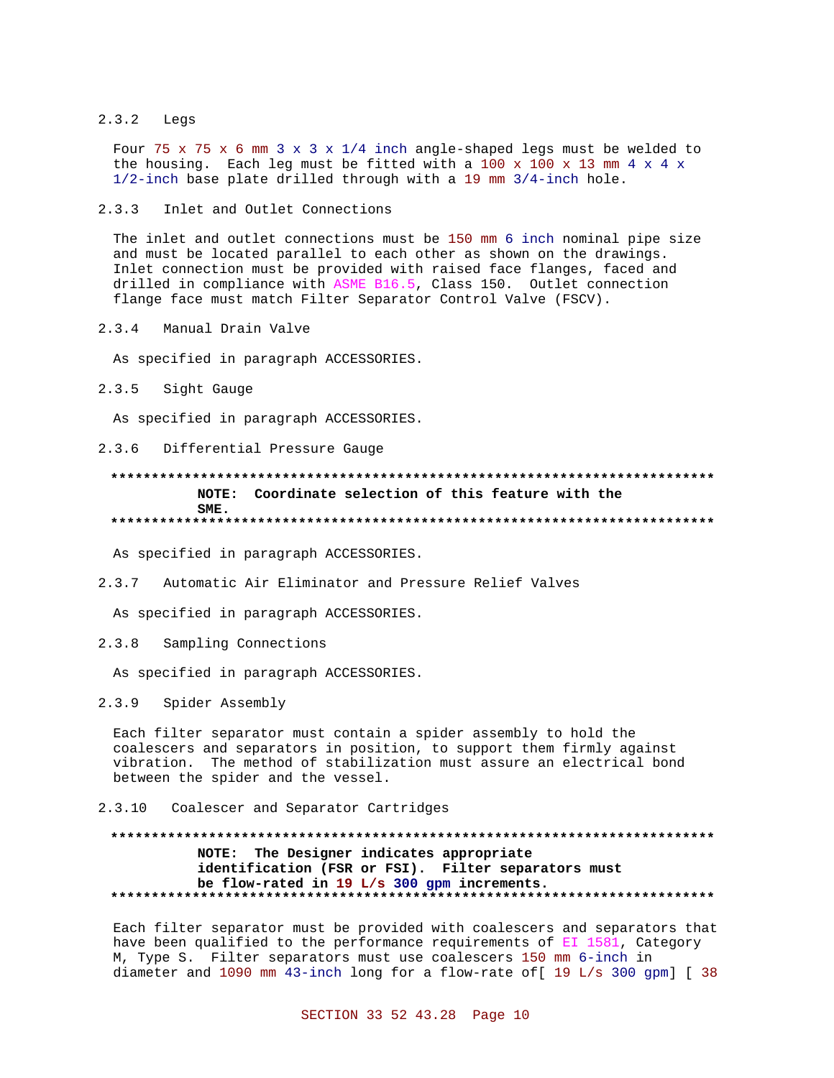#### $2.3.2$ Legs

Four 75 x 75 x 6 mm 3 x 3 x 1/4 inch angle-shaped legs must be welded to the housing. Each leg must be fitted with a 100 x 100 x 13 mm 4 x 4 x  $1/2$ -inch base plate drilled through with a 19 mm  $3/4$ -inch hole.

 $2.3.3$ Inlet and Outlet Connections

The inlet and outlet connections must be 150 mm 6 inch nominal pipe size and must be located parallel to each other as shown on the drawings. Inlet connection must be provided with raised face flanges, faced and drilled in compliance with ASME B16.5, Class 150. Outlet connection flange face must match Filter Separator Control Valve (FSCV).

2.3.4 Manual Drain Valve

As specified in paragraph ACCESSORIES.

2.3.5 Sight Gauge

As specified in paragraph ACCESSORIES.

2.3.6 Differential Pressure Gauge

# NOTE: Coordinate selection of this feature with the SME.

As specified in paragraph ACCESSORIES.

 $2.3.7$ Automatic Air Eliminator and Pressure Relief Valves

As specified in paragraph ACCESSORIES.

 $2.3.8$ Sampling Connections

As specified in paragraph ACCESSORIES.

 $2.3.9$ Spider Assembly

Each filter separator must contain a spider assembly to hold the coalescers and separators in position, to support them firmly against vibration. The method of stabilization must assure an electrical bond between the spider and the vessel.

# 2.3.10 Coalescer and Separator Cartridges

# NOTE: The Designer indicates appropriate identification (FSR or FSI). Filter separators must be flow-rated in 19 L/s 300 gpm increments.

Each filter separator must be provided with coalescers and separators that have been qualified to the performance requirements of EI 1581, Category M, Type S. Filter separators must use coalescers 150 mm 6-inch in diameter and 1090 mm 43-inch long for a flow-rate of [ 19 L/s 300 gpm] [ 38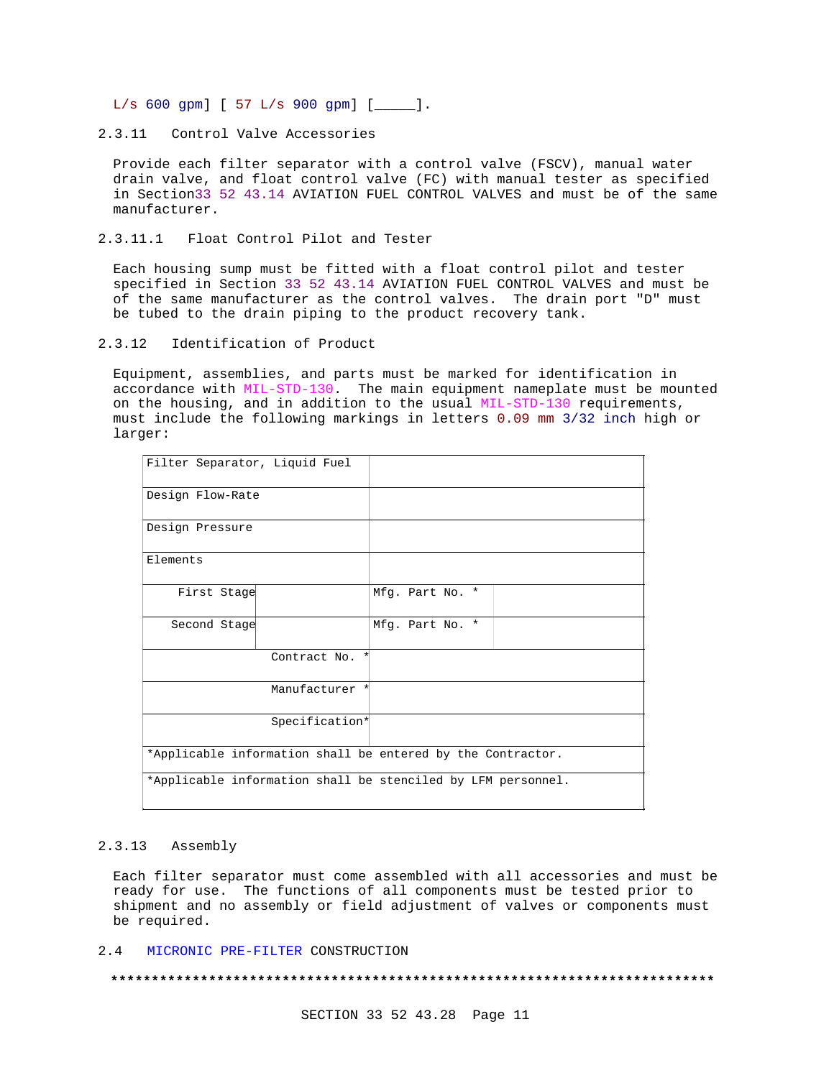$L/s$  600 gpm] [ 57  $L/s$  900 gpm] [ \_\_\_\_ ].

2.3.11 Control Valve Accessories

Provide each filter separator with a control valve (FSCV), manual water drain valve, and float control valve (FC) with manual tester as specified in Section33 52 43.14 AVIATION FUEL CONTROL VALVES and must be of the same manufacturer.

2.3.11.1 Float Control Pilot and Tester

Each housing sump must be fitted with a float control pilot and tester specified in Section 33 52 43.14 AVIATION FUEL CONTROL VALVES and must be of the same manufacturer as the control valves. The drain port "D" must be tubed to the drain piping to the product recovery tank.

 $2.3.12$ Identification of Product

Equipment, assemblies, and parts must be marked for identification in accordance with MIL-STD-130. The main equipment nameplate must be mounted on the housing, and in addition to the usual MIL-STD-130 requirements, must include the following markings in letters 0.09 mm 3/32 inch high or larger:

| Filter Separator, Liquid Fuel                                |                |                 |  |  |  |
|--------------------------------------------------------------|----------------|-----------------|--|--|--|
| Design Flow-Rate                                             |                |                 |  |  |  |
| Design Pressure                                              |                |                 |  |  |  |
| Elements                                                     |                |                 |  |  |  |
| First Stage                                                  |                | Mfg. Part No. * |  |  |  |
| Second Stage                                                 |                | Mfg. Part No. * |  |  |  |
|                                                              | Contract No.   |                 |  |  |  |
|                                                              | Manufacturer * |                 |  |  |  |
|                                                              | Specification* |                 |  |  |  |
| *Applicable information shall be entered by the Contractor.  |                |                 |  |  |  |
| *Applicable information shall be stenciled by LFM personnel. |                |                 |  |  |  |

#### $2.3.13$ Assembly

Each filter separator must come assembled with all accessories and must be ready for use. The functions of all components must be tested prior to shipment and no assembly or field adjustment of valves or components must be required.

 $2.4$ MICRONIC PRE-FILTER CONSTRUCTION

####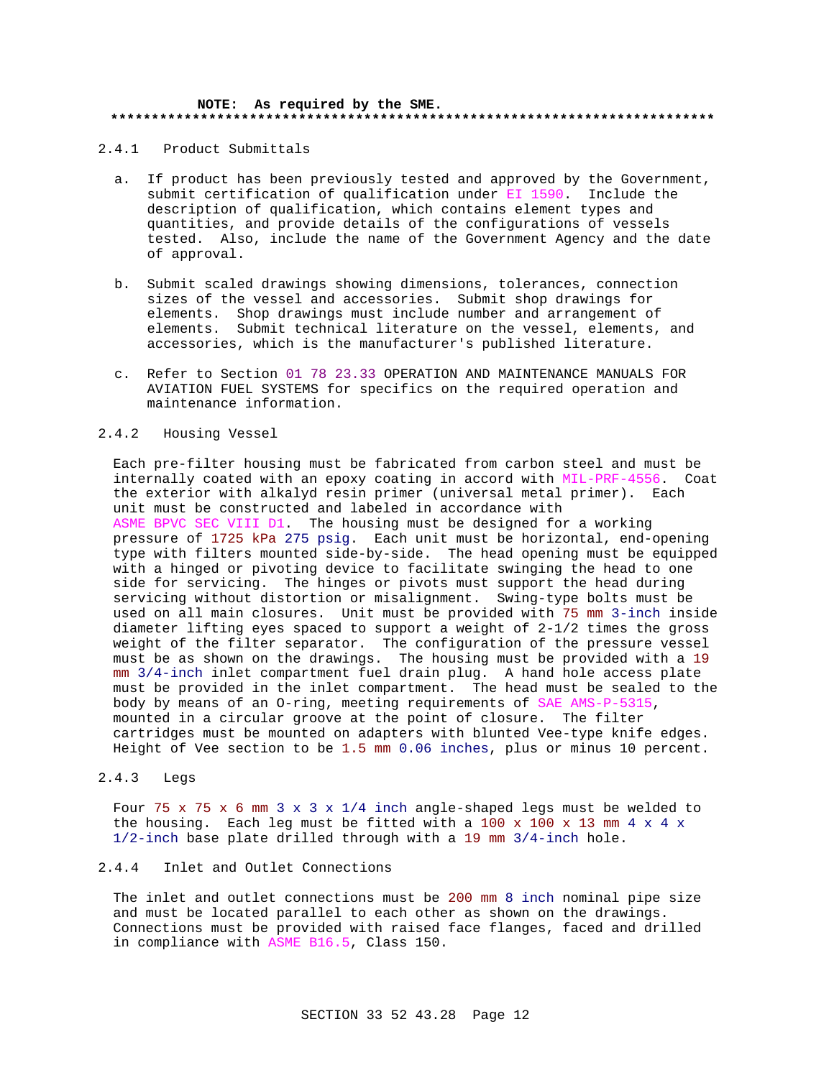#### **NOTE: As required by the SME. \*\*\*\*\*\*\*\*\*\*\*\*\*\*\*\*\*\*\*\*\*\*\*\*\*\*\*\*\*\*\*\*\*\*\*\*\*\*\*\*\*\*\*\*\*\*\*\*\*\*\*\*\*\*\*\*\*\*\*\*\*\*\*\*\*\*\*\*\*\*\*\*\*\***

2.4.1 Product Submittals

- a. If product has been previously tested and approved by the Government, submit certification of qualification under EI 1590. Include the description of qualification, which contains element types and quantities, and provide details of the configurations of vessels tested. Also, include the name of the Government Agency and the date of approval.
- b. Submit scaled drawings showing dimensions, tolerances, connection sizes of the vessel and accessories. Submit shop drawings for elements. Shop drawings must include number and arrangement of elements. Submit technical literature on the vessel, elements, and accessories, which is the manufacturer's published literature.
- c. Refer to Section 01 78 23.33 OPERATION AND MAINTENANCE MANUALS FOR AVIATION FUEL SYSTEMS for specifics on the required operation and maintenance information.

### 2.4.2 Housing Vessel

Each pre-filter housing must be fabricated from carbon steel and must be internally coated with an epoxy coating in accord with MIL-PRF-4556. Coat the exterior with alkalyd resin primer (universal metal primer). Each unit must be constructed and labeled in accordance with ASME BPVC SEC VIII D1. The housing must be designed for a working pressure of 1725 kPa 275 psig. Each unit must be horizontal, end-opening type with filters mounted side-by-side. The head opening must be equipped with a hinged or pivoting device to facilitate swinging the head to one side for servicing. The hinges or pivots must support the head during servicing without distortion or misalignment. Swing-type bolts must be used on all main closures. Unit must be provided with 75 mm 3-inch inside diameter lifting eyes spaced to support a weight of 2-1/2 times the gross weight of the filter separator. The configuration of the pressure vessel must be as shown on the drawings. The housing must be provided with a 19 mm 3/4-inch inlet compartment fuel drain plug. A hand hole access plate must be provided in the inlet compartment. The head must be sealed to the body by means of an O-ring, meeting requirements of SAE AMS-P-5315, mounted in a circular groove at the point of closure. The filter cartridges must be mounted on adapters with blunted Vee-type knife edges. Height of Vee section to be 1.5 mm 0.06 inches, plus or minus 10 percent.

# 2.4.3 Legs

Four 75 x 75 x 6 mm 3 x 3 x 1/4 inch angle-shaped legs must be welded to the housing. Each leg must be fitted with a 100 x 100 x 13 mm 4 x 4 x 1/2-inch base plate drilled through with a 19 mm 3/4-inch hole.

# 2.4.4 Inlet and Outlet Connections

The inlet and outlet connections must be 200 mm 8 inch nominal pipe size and must be located parallel to each other as shown on the drawings. Connections must be provided with raised face flanges, faced and drilled in compliance with ASME B16.5, Class 150.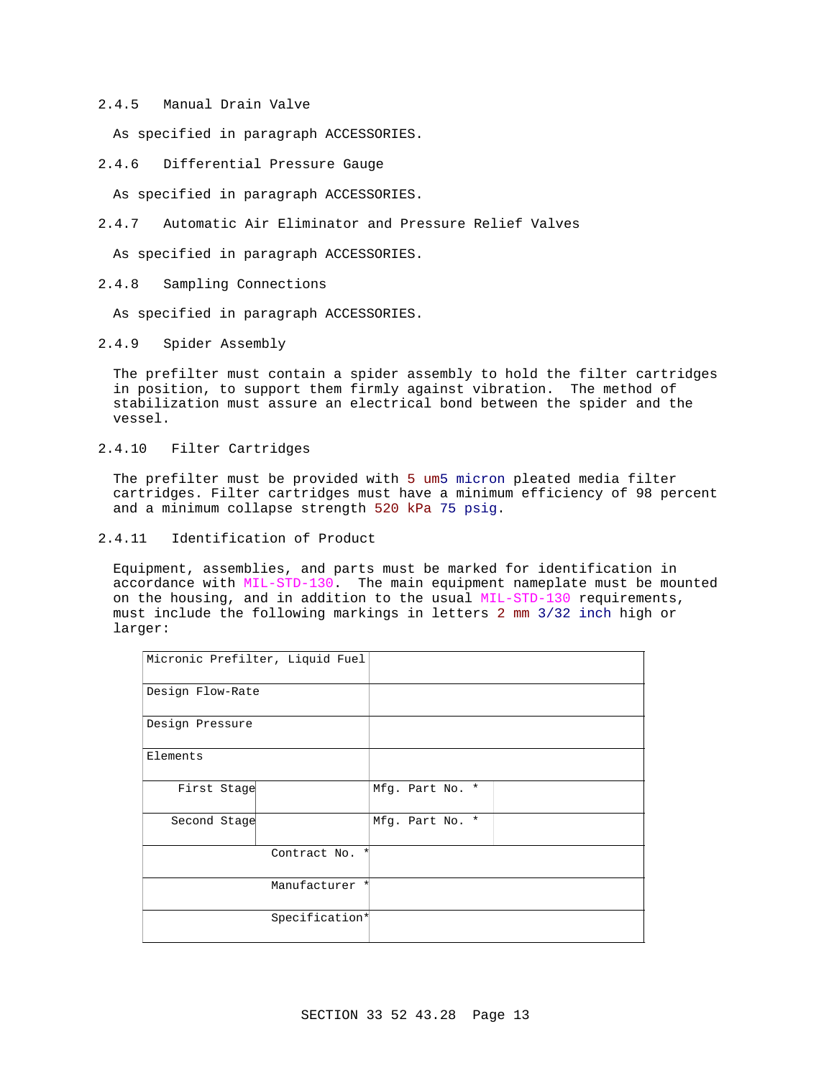## 2.4.5 Manual Drain Valve

As specified in paragraph ACCESSORIES.

2.4.6 Differential Pressure Gauge

As specified in paragraph ACCESSORIES.

2.4.7 Automatic Air Eliminator and Pressure Relief Valves

As specified in paragraph ACCESSORIES.

2.4.8 Sampling Connections

As specified in paragraph ACCESSORIES.

2.4.9 Spider Assembly

The prefilter must contain a spider assembly to hold the filter cartridges in position, to support them firmly against vibration. The method of stabilization must assure an electrical bond between the spider and the vessel.

2.4.10 Filter Cartridges

The prefilter must be provided with 5 um5 micron pleated media filter cartridges. Filter cartridges must have a minimum efficiency of 98 percent and a minimum collapse strength 520 kPa 75 psig.

2.4.11 Identification of Product

Equipment, assemblies, and parts must be marked for identification in accordance with MIL-STD-130. The main equipment nameplate must be mounted on the housing, and in addition to the usual MIL-STD-130 requirements, must include the following markings in letters 2 mm 3/32 inch high or larger:

| Micronic Prefilter, Liquid Fuel |                        |                 |
|---------------------------------|------------------------|-----------------|
| Design Flow-Rate                |                        |                 |
| Design Pressure                 |                        |                 |
| Elements                        |                        |                 |
| First Stage                     |                        | Mfg. Part No. * |
| Second Stage                    |                        | Mfg. Part No. * |
|                                 | Contract No.<br>$\ast$ |                 |
|                                 | Manufacturer *         |                 |
|                                 | Specification*         |                 |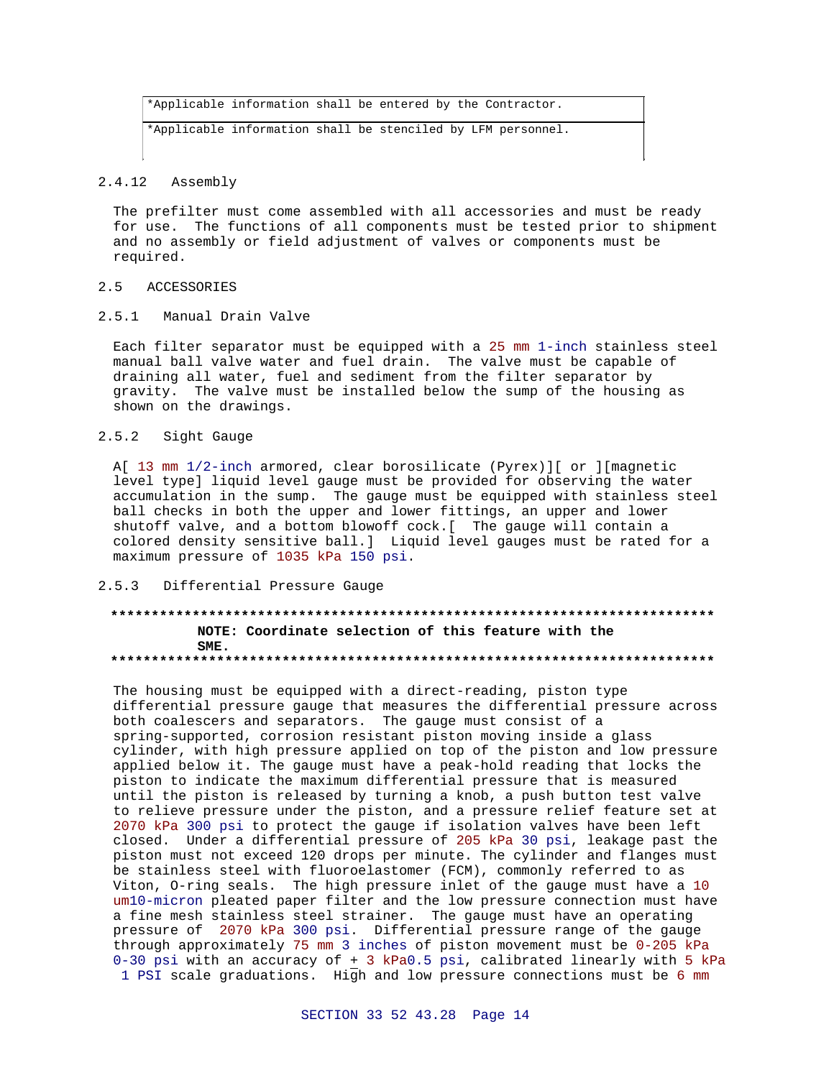```
*Applicable information shall be entered by the Contractor.
*Applicable information shall be stenciled by LFM personnel.
```
# 2.4.12 Assembly

The prefilter must come assembled with all accessories and must be ready for use. The functions of all components must be tested prior to shipment and no assembly or field adjustment of valves or components must be required.

### 2.5 ACCESSORIES

2.5.1 Manual Drain Valve

Each filter separator must be equipped with a 25 mm 1-inch stainless steel manual ball valve water and fuel drain. The valve must be capable of draining all water, fuel and sediment from the filter separator by gravity. The valve must be installed below the sump of the housing as shown on the drawings.

### 2.5.2 Sight Gauge

A[ 13 mm 1/2-inch armored, clear borosilicate (Pyrex)][ or ][magnetic level type] liquid level gauge must be provided for observing the water accumulation in the sump. The gauge must be equipped with stainless steel ball checks in both the upper and lower fittings, an upper and lower shutoff valve, and a bottom blowoff cock.[ The gauge will contain a colored density sensitive ball.] Liquid level gauges must be rated for a maximum pressure of 1035 kPa 150 psi.

# 2.5.3 Differential Pressure Gauge

### **\*\*\*\*\*\*\*\*\*\*\*\*\*\*\*\*\*\*\*\*\*\*\*\*\*\*\*\*\*\*\*\*\*\*\*\*\*\*\*\*\*\*\*\*\*\*\*\*\*\*\*\*\*\*\*\*\*\*\*\*\*\*\*\*\*\*\*\*\*\*\*\*\*\* NOTE: Coordinate selection of this feature with the SME. \*\*\*\*\*\*\*\*\*\*\*\*\*\*\*\*\*\*\*\*\*\*\*\*\*\*\*\*\*\*\*\*\*\*\*\*\*\*\*\*\*\*\*\*\*\*\*\*\*\*\*\*\*\*\*\*\*\*\*\*\*\*\*\*\*\*\*\*\*\*\*\*\*\***

The housing must be equipped with a direct-reading, piston type differential pressure gauge that measures the differential pressure across both coalescers and separators. The gauge must consist of a spring-supported, corrosion resistant piston moving inside a glass cylinder, with high pressure applied on top of the piston and low pressure applied below it. The gauge must have a peak-hold reading that locks the piston to indicate the maximum differential pressure that is measured until the piston is released by turning a knob, a push button test valve to relieve pressure under the piston, and a pressure relief feature set at 2070 kPa 300 psi to protect the gauge if isolation valves have been left closed. Under a differential pressure of 205 kPa 30 psi, leakage past the piston must not exceed 120 drops per minute. The cylinder and flanges must be stainless steel with fluoroelastomer (FCM), commonly referred to as Viton, O-ring seals. The high pressure inlet of the gauge must have a 10 um10-micron pleated paper filter and the low pressure connection must have a fine mesh stainless steel strainer. The gauge must have an operating pressure of 2070 kPa 300 psi. Differential pressure range of the gauge through approximately 75 mm 3 inches of piston movement must be 0-205 kPa 0-30 psi with an accuracy of + 3 kPa0.5 psi, calibrated linearly with 5 kPa 1 PSI scale graduations. High and low pressure connections must be 6 mm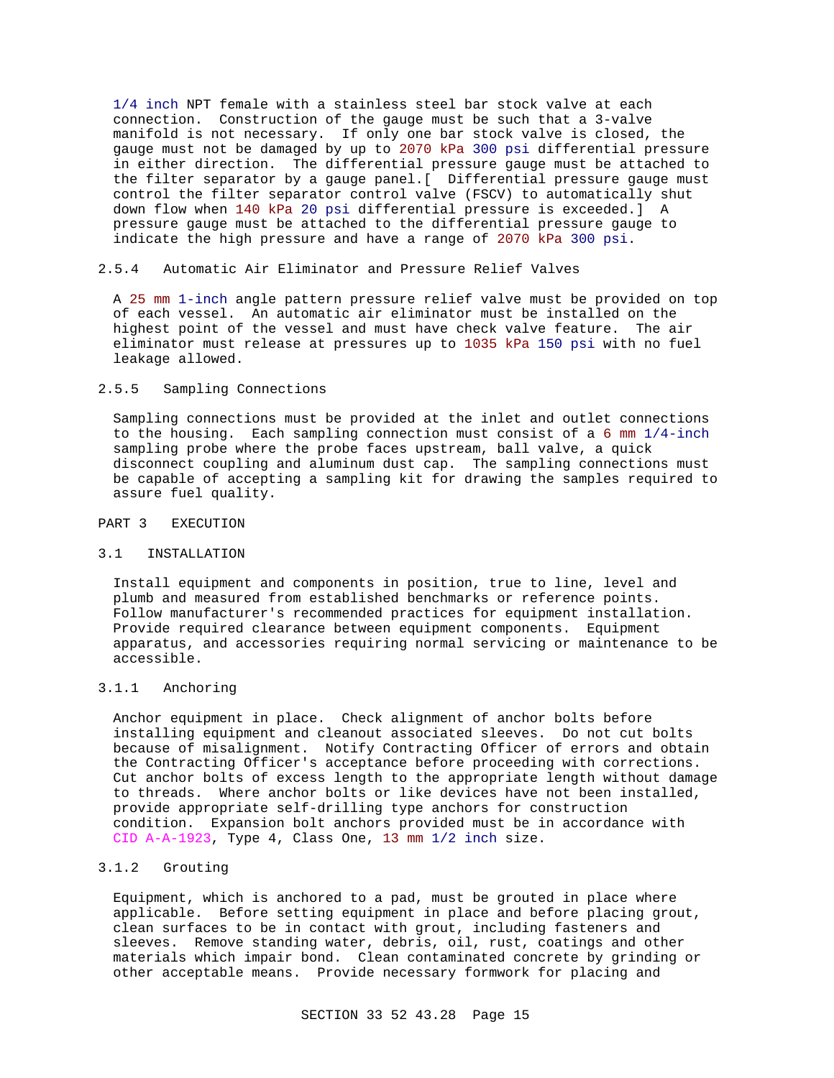1/4 inch NPT female with a stainless steel bar stock valve at each connection. Construction of the gauge must be such that a 3-valve manifold is not necessary. If only one bar stock valve is closed, the gauge must not be damaged by up to 2070 kPa 300 psi differential pressure in either direction. The differential pressure gauge must be attached to the filter separator by a gauge panel.[ Differential pressure gauge must control the filter separator control valve (FSCV) to automatically shut down flow when 140 kPa 20 psi differential pressure is exceeded.] A pressure gauge must be attached to the differential pressure gauge to indicate the high pressure and have a range of 2070 kPa 300 psi.

# 2.5.4 Automatic Air Eliminator and Pressure Relief Valves

A 25 mm 1-inch angle pattern pressure relief valve must be provided on top of each vessel. An automatic air eliminator must be installed on the highest point of the vessel and must have check valve feature. The air eliminator must release at pressures up to 1035 kPa 150 psi with no fuel leakage allowed.

## 2.5.5 Sampling Connections

Sampling connections must be provided at the inlet and outlet connections to the housing. Each sampling connection must consist of a 6 mm 1/4-inch sampling probe where the probe faces upstream, ball valve, a quick disconnect coupling and aluminum dust cap. The sampling connections must be capable of accepting a sampling kit for drawing the samples required to assure fuel quality.

# PART 3 EXECUTION

#### 3.1 INSTALLATION

Install equipment and components in position, true to line, level and plumb and measured from established benchmarks or reference points. Follow manufacturer's recommended practices for equipment installation. Provide required clearance between equipment components. Equipment apparatus, and accessories requiring normal servicing or maintenance to be accessible.

# 3.1.1 Anchoring

Anchor equipment in place. Check alignment of anchor bolts before installing equipment and cleanout associated sleeves. Do not cut bolts because of misalignment. Notify Contracting Officer of errors and obtain the Contracting Officer's acceptance before proceeding with corrections. Cut anchor bolts of excess length to the appropriate length without damage to threads. Where anchor bolts or like devices have not been installed, provide appropriate self-drilling type anchors for construction condition. Expansion bolt anchors provided must be in accordance with CID A-A-1923, Type 4, Class One, 13 mm 1/2 inch size.

# 3.1.2 Grouting

Equipment, which is anchored to a pad, must be grouted in place where applicable. Before setting equipment in place and before placing grout, clean surfaces to be in contact with grout, including fasteners and sleeves. Remove standing water, debris, oil, rust, coatings and other materials which impair bond. Clean contaminated concrete by grinding or other acceptable means. Provide necessary formwork for placing and